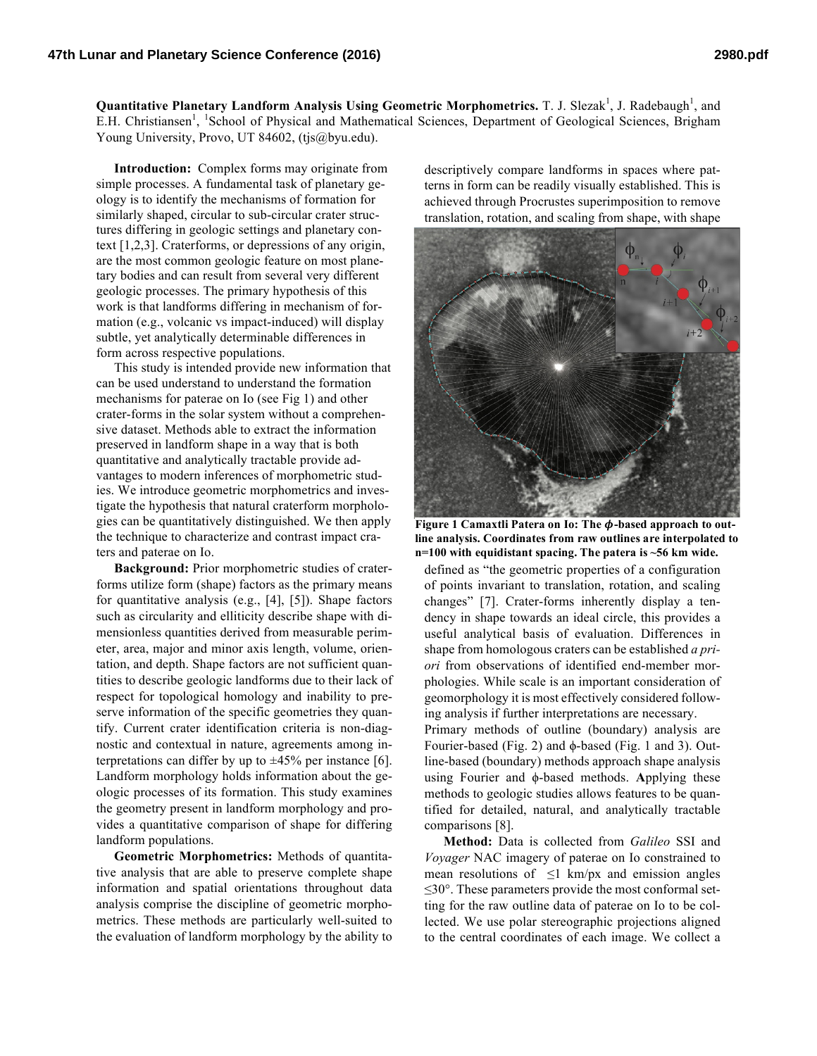Quantitative Planetary Landform Analysis Using Geometric Morphometrics. T. J. Slezak<sup>1</sup>, J. Radebaugh<sup>1</sup>, and E.H. Christiansen<sup>1</sup>, <sup>1</sup>School of Physical and Mathematical Sciences, Department of Geological Sciences, Brigham Young University, Provo, UT 84602, (tjs@byu.edu).

**Introduction:** Complex forms may originate from simple processes. A fundamental task of planetary geology is to identify the mechanisms of formation for similarly shaped, circular to sub-circular crater structures differing in geologic settings and planetary context [1,2,3]. Craterforms, or depressions of any origin, are the most common geologic feature on most planetary bodies and can result from several very different geologic processes. The primary hypothesis of this work is that landforms differing in mechanism of formation (e.g., volcanic vs impact-induced) will display subtle, yet analytically determinable differences in form across respective populations.

This study is intended provide new information that can be used understand to understand the formation mechanisms for paterae on Io (see Fig 1) and other crater-forms in the solar system without a comprehensive dataset. Methods able to extract the information preserved in landform shape in a way that is both quantitative and analytically tractable provide advantages to modern inferences of morphometric studies. We introduce geometric morphometrics and investigate the hypothesis that natural craterform morphologies can be quantitatively distinguished. We then apply the technique to characterize and contrast impact craters and paterae on Io.

**Background:** Prior morphometric studies of craterforms utilize form (shape) factors as the primary means for quantitative analysis (e.g., [4], [5]). Shape factors such as circularity and elliticity describe shape with dimensionless quantities derived from measurable perimeter, area, major and minor axis length, volume, orientation, and depth. Shape factors are not sufficient quantities to describe geologic landforms due to their lack of respect for topological homology and inability to preserve information of the specific geometries they quantify. Current crater identification criteria is non-diagnostic and contextual in nature, agreements among interpretations can differ by up to  $\pm 45\%$  per instance [6]. Landform morphology holds information about the geologic processes of its formation. This study examines the geometry present in landform morphology and provides a quantitative comparison of shape for differing landform populations.

**Geometric Morphometrics:** Methods of quantitative analysis that are able to preserve complete shape information and spatial orientations throughout data analysis comprise the discipline of geometric morphometrics. These methods are particularly well-suited to the evaluation of landform morphology by the ability to

descriptively compare landforms in spaces where patterns in form can be readily visually established. This is achieved through Procrustes superimposition to remove translation, rotation, and scaling from shape, with shape



**Figure 1 Camaxtli Patera on Io: The**  $\phi$ **-based approach to outline analysis. Coordinates from raw outlines are interpolated to n=100 with equidistant spacing. The patera is ~56 km wide.**

defined as "the geometric properties of a configuration of points invariant to translation, rotation, and scaling changes" [7]. Crater-forms inherently display a tendency in shape towards an ideal circle, this provides a useful analytical basis of evaluation. Differences in shape from homologous craters can be established *a priori* from observations of identified end-member morphologies. While scale is an important consideration of geomorphology it is most effectively considered following analysis if further interpretations are necessary. Primary methods of outline (boundary) analysis are

Fourier-based (Fig. 2) and ϕ-based (Fig. 1 and 3). Outline-based (boundary) methods approach shape analysis using Fourier and ϕ-based methods. **A**pplying these methods to geologic studies allows features to be quantified for detailed, natural, and analytically tractable comparisons [8].

**Method:** Data is collected from *Galileo* SSI and *Voyager* NAC imagery of paterae on Io constrained to mean resolutions of  $\leq$ 1 km/px and emission angles ≤30°. These parameters provide the most conformal setting for the raw outline data of paterae on Io to be collected. We use polar stereographic projections aligned to the central coordinates of each image. We collect a